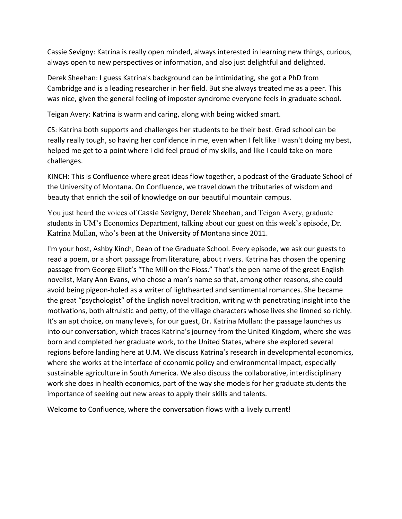Cassie Sevigny: Katrina is really open minded, always interested in learning new things, curious, always open to new perspectives or information, and also just delightful and delighted.

Derek Sheehan: I guess Katrina's background can be intimidating, she got a PhD from Cambridge and is a leading researcher in her field. But she always treated me as a peer. This was nice, given the general feeling of imposter syndrome everyone feels in graduate school.

Teigan Avery: Katrina is warm and caring, along with being wicked smart.

CS: Katrina both supports and challenges her students to be their best. Grad school can be really really tough, so having her confidence in me, even when I felt like I wasn't doing my best, helped me get to a point where I did feel proud of my skills, and like I could take on more challenges.

KINCH: This is Confluence where great ideas flow together, a podcast of the Graduate School of the University of Montana. On Confluence, we travel down the tributaries of wisdom and beauty that enrich the soil of knowledge on our beautiful mountain campus.

You just heard the voices of Cassie Sevigny, Derek Sheehan, and Teigan Avery, graduate students in UM's Economics Department, talking about our guest on this week's episode, Dr. Katrina Mullan, who's been at the University of Montana since 2011.

I'm your host, Ashby Kinch, Dean of the Graduate School. Every episode, we ask our guests to read a poem, or a short passage from literature, about rivers. Katrina has chosen the opening passage from George Eliot's "The Mill on the Floss." That's the pen name of the great English novelist, Mary Ann Evans, who chose a man's name so that, among other reasons, she could avoid being pigeon-holed as a writer of lighthearted and sentimental romances. She became the great "psychologist" of the English novel tradition, writing with penetrating insight into the motivations, both altruistic and petty, of the village characters whose lives she limned so richly. It's an apt choice, on many levels, for our guest, Dr. Katrina Mullan: the passage launches us into our conversation, which traces Katrina's journey from the United Kingdom, where she was born and completed her graduate work, to the United States, where she explored several regions before landing here at U.M. We discuss Katrina's research in developmental economics, where she works at the interface of economic policy and environmental impact, especially sustainable agriculture in South America. We also discuss the collaborative, interdisciplinary work she does in health economics, part of the way she models for her graduate students the importance of seeking out new areas to apply their skills and talents.

Welcome to Confluence, where the conversation flows with a lively current!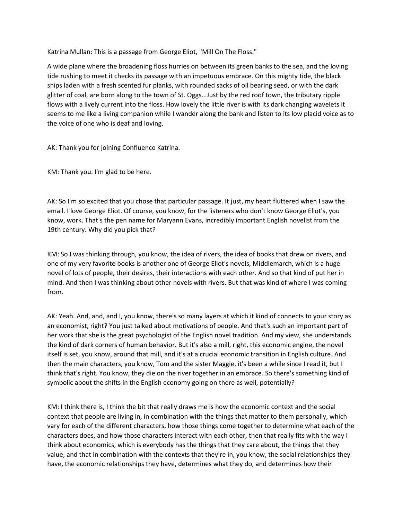Katrina Mullan: This is a passage from George Eliot, "Mill On The Floss."

A wide plane where the broadening floss hurries on between its green banks to the sea, and the loving tide rushing to meet it checks its passage with an impetuous embrace. On this mighty tide, the black ships laden with a fresh scented fur planks, with rounded sacks of oil bearing seed, or with the dark glitter of coal, are born along to the town of St. Oggs...Just by the red roof town, the tributary ripple flows with a lively current into the floss. How lovely the little river is with its dark changing wavelets it seems to me like a living companion while I wander along the bank and listen to its low placid voice as to the voice of one who is deaf and loving.

AK: Thank you for joining Confluence Katrina.

KM: Thank you. I'm glad to be here.

AK: So I'm so excited that you chose that particular passage. It just, my heart fluttered when I saw the email. I love George Eliot. Of course, you know, for the listeners who don't know George Eliot's, you know, work. That's the pen name for Maryann Evans, incredibly important English novelist from the 19th century. Why did you pick that?

KM: So I was thinking through, you know, the idea of rivers, the idea of books that drew on rivers, and one of my very favorite books is another one of George Eliot's novels, Middlemarch, which is a huge novel of lots of people, their desires, their interactions with each other. And so that kind of put her in mind. And then I was thinking about other novels with rivers. But that was kind of where I was coming from.

AK: Yeah. And, and, and I, you know, there's so many layers at which it kind of connects to your story as an economist, right? You just talked about motivations of people. And that's such an important part of her work that she is the great psychologist of the English novel tradition. And my view, she understands the kind of dark corners of human behavior. But it's also a mill, right, this economic engine, the novel itself is set, you know, around that mill, and it's at a crucial economic transition in English culture. And then the main characters, you know, Tom and the sister Maggie, it's been a while since I read it, but I think that's right. You know, they die on the river together in an embrace. So there's something kind of symbolic about the shifts in the English economy going on there as well, potentially?

KM: I think there is, I think the bit that really draws me is how the economic context and the social context that people are living in, in combination with the things that matter to them personally, which vary for each of the different characters, how those things come together to determine what each of the characters does, and how those characters interact with each other, then that really fits with the way I think about economics, which is everybody has the things that they care about, the things that they value, and that in combination with the contexts that they're in, you know, the social relationships they have, the economic relationships they have, determines what they do, and determines how their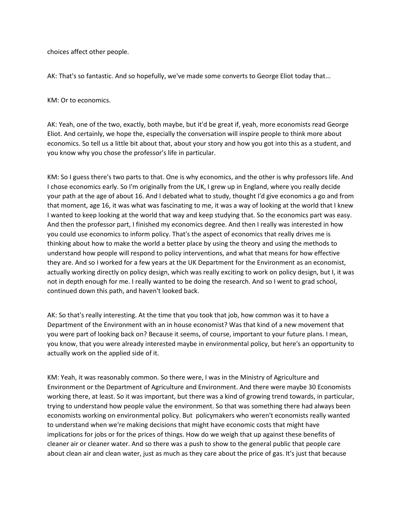choices affect other people.

AK: That's so fantastic. And so hopefully, we've made some converts to George Eliot today that...

KM: Or to economics.

AK: Yeah, one of the two, exactly, both maybe, but it'd be great if, yeah, more economists read George Eliot. And certainly, we hope the, especially the conversation will inspire people to think more about economics. So tell us a little bit about that, about your story and how you got into this as a student, and you know why you chose the professor's life in particular.

KM: So I guess there's two parts to that. One is why economics, and the other is why professors life. And I chose economics early. So I'm originally from the UK, I grew up in England, where you really decide your path at the age of about 16. And I debated what to study, thought I'd give economics a go and from that moment, age 16, it was what was fascinating to me, it was a way of looking at the world that I knew I wanted to keep looking at the world that way and keep studying that. So the economics part was easy. And then the professor part, I finished my economics degree. And then I really was interested in how you could use economics to inform policy. That's the aspect of economics that really drives me is thinking about how to make the world a better place by using the theory and using the methods to understand how people will respond to policy interventions, and what that means for how effective they are. And so I worked for a few years at the UK Department for the Environment as an economist, actually working directly on policy design, which was really exciting to work on policy design, but I, it was not in depth enough for me. I really wanted to be doing the research. And so I went to grad school, continued down this path, and haven't looked back.

AK: So that's really interesting. At the time that you took that job, how common was it to have a Department of the Environment with an in house economist? Was that kind of a new movement that you were part of looking back on? Because it seems, of course, important to your future plans. I mean, you know, that you were already interested maybe in environmental policy, but here's an opportunity to actually work on the applied side of it.

KM: Yeah, it was reasonably common. So there were, I was in the Ministry of Agriculture and Environment or the Department of Agriculture and Environment. And there were maybe 30 Economists working there, at least. So it was important, but there was a kind of growing trend towards, in particular, trying to understand how people value the environment. So that was something there had always been economists working on environmental policy. But policymakers who weren't economists really wanted to understand when we're making decisions that might have economic costs that might have implications for jobs or for the prices of things. How do we weigh that up against these benefits of cleaner air or cleaner water. And so there was a push to show to the general public that people care about clean air and clean water, just as much as they care about the price of gas. It's just that because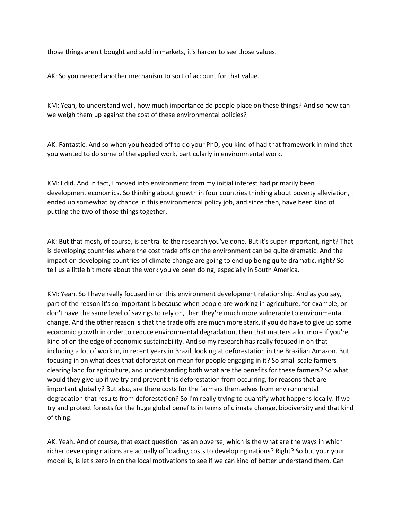those things aren't bought and sold in markets, it's harder to see those values.

AK: So you needed another mechanism to sort of account for that value.

KM: Yeah, to understand well, how much importance do people place on these things? And so how can we weigh them up against the cost of these environmental policies?

AK: Fantastic. And so when you headed off to do your PhD, you kind of had that framework in mind that you wanted to do some of the applied work, particularly in environmental work.

KM: I did. And in fact, I moved into environment from my initial interest had primarily been development economics. So thinking about growth in four countries thinking about poverty alleviation, I ended up somewhat by chance in this environmental policy job, and since then, have been kind of putting the two of those things together.

AK: But that mesh, of course, is central to the research you've done. But it's super important, right? That is developing countries where the cost trade offs on the environment can be quite dramatic. And the impact on developing countries of climate change are going to end up being quite dramatic, right? So tell us a little bit more about the work you've been doing, especially in South America.

KM: Yeah. So I have really focused in on this environment development relationship. And as you say, part of the reason it's so important is because when people are working in agriculture, for example, or don't have the same level of savings to rely on, then they're much more vulnerable to environmental change. And the other reason is that the trade offs are much more stark, if you do have to give up some economic growth in order to reduce environmental degradation, then that matters a lot more if you're kind of on the edge of economic sustainability. And so my research has really focused in on that including a lot of work in, in recent years in Brazil, looking at deforestation in the Brazilian Amazon. But focusing in on what does that deforestation mean for people engaging in it? So small scale farmers clearing land for agriculture, and understanding both what are the benefits for these farmers? So what would they give up if we try and prevent this deforestation from occurring, for reasons that are important globally? But also, are there costs for the farmers themselves from environmental degradation that results from deforestation? So I'm really trying to quantify what happens locally. If we try and protect forests for the huge global benefits in terms of climate change, biodiversity and that kind of thing.

AK: Yeah. And of course, that exact question has an obverse, which is the what are the ways in which richer developing nations are actually offloading costs to developing nations? Right? So but your your model is, is let's zero in on the local motivations to see if we can kind of better understand them. Can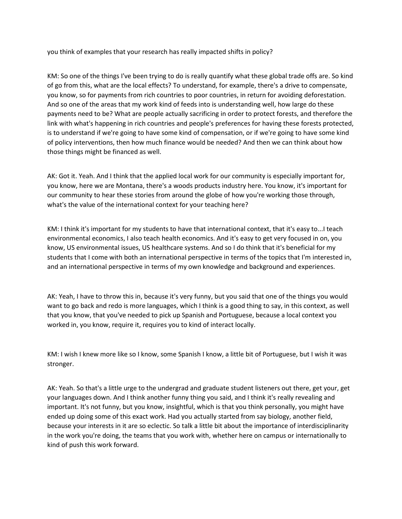you think of examples that your research has really impacted shifts in policy?

KM: So one of the things I've been trying to do is really quantify what these global trade offs are. So kind of go from this, what are the local effects? To understand, for example, there's a drive to compensate, you know, so for payments from rich countries to poor countries, in return for avoiding deforestation. And so one of the areas that my work kind of feeds into is understanding well, how large do these payments need to be? What are people actually sacrificing in order to protect forests, and therefore the link with what's happening in rich countries and people's preferences for having these forests protected, is to understand if we're going to have some kind of compensation, or if we're going to have some kind of policy interventions, then how much finance would be needed? And then we can think about how those things might be financed as well.

AK: Got it. Yeah. And I think that the applied local work for our community is especially important for, you know, here we are Montana, there's a woods products industry here. You know, it's important for our community to hear these stories from around the globe of how you're working those through, what's the value of the international context for your teaching here?

KM: I think it's important for my students to have that international context, that it's easy to...I teach environmental economics, I also teach health economics. And it's easy to get very focused in on, you know, US environmental issues, US healthcare systems. And so I do think that it's beneficial for my students that I come with both an international perspective in terms of the topics that I'm interested in, and an international perspective in terms of my own knowledge and background and experiences.

AK: Yeah, I have to throw this in, because it's very funny, but you said that one of the things you would want to go back and redo is more languages, which I think is a good thing to say, in this context, as well that you know, that you've needed to pick up Spanish and Portuguese, because a local context you worked in, you know, require it, requires you to kind of interact locally.

KM: I wish I knew more like so I know, some Spanish I know, a little bit of Portuguese, but I wish it was stronger.

AK: Yeah. So that's a little urge to the undergrad and graduate student listeners out there, get your, get your languages down. And I think another funny thing you said, and I think it's really revealing and important. It's not funny, but you know, insightful, which is that you think personally, you might have ended up doing some of this exact work. Had you actually started from say biology, another field, because your interests in it are so eclectic. So talk a little bit about the importance of interdisciplinarity in the work you're doing, the teams that you work with, whether here on campus or internationally to kind of push this work forward.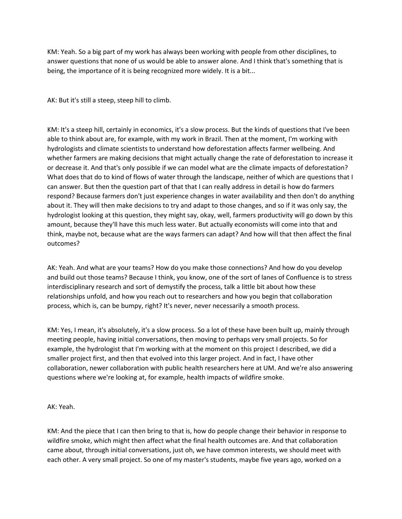KM: Yeah. So a big part of my work has always been working with people from other disciplines, to answer questions that none of us would be able to answer alone. And I think that's something that is being, the importance of it is being recognized more widely. It is a bit...

AK: But it's still a steep, steep hill to climb.

KM: It's a steep hill, certainly in economics, it's a slow process. But the kinds of questions that I've been able to think about are, for example, with my work in Brazil. Then at the moment, I'm working with hydrologists and climate scientists to understand how deforestation affects farmer wellbeing. And whether farmers are making decisions that might actually change the rate of deforestation to increase it or decrease it. And that's only possible if we can model what are the climate impacts of deforestation? What does that do to kind of flows of water through the landscape, neither of which are questions that I can answer. But then the question part of that that I can really address in detail is how do farmers respond? Because farmers don't just experience changes in water availability and then don't do anything about it. They will then make decisions to try and adapt to those changes, and so if it was only say, the hydrologist looking at this question, they might say, okay, well, farmers productivity will go down by this amount, because they'll have this much less water. But actually economists will come into that and think, maybe not, because what are the ways farmers can adapt? And how will that then affect the final outcomes?

AK: Yeah. And what are your teams? How do you make those connections? And how do you develop and build out those teams? Because I think, you know, one of the sort of lanes of Confluence is to stress interdisciplinary research and sort of demystify the process, talk a little bit about how these relationships unfold, and how you reach out to researchers and how you begin that collaboration process, which is, can be bumpy, right? It's never, never necessarily a smooth process.

KM: Yes, I mean, it's absolutely, it's a slow process. So a lot of these have been built up, mainly through meeting people, having initial conversations, then moving to perhaps very small projects. So for example, the hydrologist that I'm working with at the moment on this project I described, we did a smaller project first, and then that evolved into this larger project. And in fact, I have other collaboration, newer collaboration with public health researchers here at UM. And we're also answering questions where we're looking at, for example, health impacts of wildfire smoke.

## AK: Yeah.

KM: And the piece that I can then bring to that is, how do people change their behavior in response to wildfire smoke, which might then affect what the final health outcomes are. And that collaboration came about, through initial conversations, just oh, we have common interests, we should meet with each other. A very small project. So one of my master's students, maybe five years ago, worked on a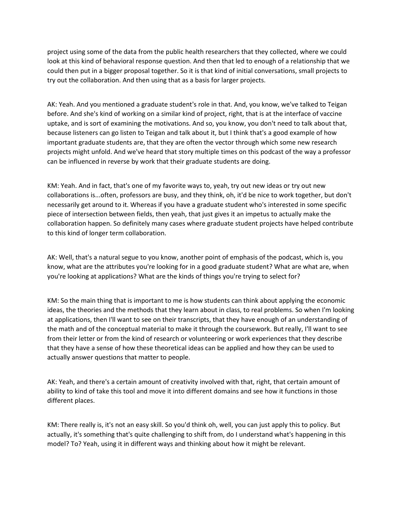project using some of the data from the public health researchers that they collected, where we could look at this kind of behavioral response question. And then that led to enough of a relationship that we could then put in a bigger proposal together. So it is that kind of initial conversations, small projects to try out the collaboration. And then using that as a basis for larger projects.

AK: Yeah. And you mentioned a graduate student's role in that. And, you know, we've talked to Teigan before. And she's kind of working on a similar kind of project, right, that is at the interface of vaccine uptake, and is sort of examining the motivations. And so, you know, you don't need to talk about that, because listeners can go listen to Teigan and talk about it, but I think that's a good example of how important graduate students are, that they are often the vector through which some new research projects might unfold. And we've heard that story multiple times on this podcast of the way a professor can be influenced in reverse by work that their graduate students are doing.

KM: Yeah. And in fact, that's one of my favorite ways to, yeah, try out new ideas or try out new collaborations is...often, professors are busy, and they think, oh, it'd be nice to work together, but don't necessarily get around to it. Whereas if you have a graduate student who's interested in some specific piece of intersection between fields, then yeah, that just gives it an impetus to actually make the collaboration happen. So definitely many cases where graduate student projects have helped contribute to this kind of longer term collaboration.

AK: Well, that's a natural segue to you know, another point of emphasis of the podcast, which is, you know, what are the attributes you're looking for in a good graduate student? What are what are, when you're looking at applications? What are the kinds of things you're trying to select for?

KM: So the main thing that is important to me is how students can think about applying the economic ideas, the theories and the methods that they learn about in class, to real problems. So when I'm looking at applications, then I'll want to see on their transcripts, that they have enough of an understanding of the math and of the conceptual material to make it through the coursework. But really, I'll want to see from their letter or from the kind of research or volunteering or work experiences that they describe that they have a sense of how these theoretical ideas can be applied and how they can be used to actually answer questions that matter to people.

AK: Yeah, and there's a certain amount of creativity involved with that, right, that certain amount of ability to kind of take this tool and move it into different domains and see how it functions in those different places.

KM: There really is, it's not an easy skill. So you'd think oh, well, you can just apply this to policy. But actually, it's something that's quite challenging to shift from, do I understand what's happening in this model? To? Yeah, using it in different ways and thinking about how it might be relevant.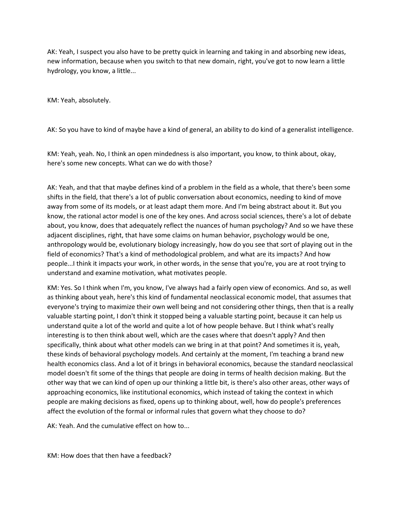AK: Yeah, I suspect you also have to be pretty quick in learning and taking in and absorbing new ideas, new information, because when you switch to that new domain, right, you've got to now learn a little hydrology, you know, a little...

KM: Yeah, absolutely.

AK: So you have to kind of maybe have a kind of general, an ability to do kind of a generalist intelligence.

KM: Yeah, yeah. No, I think an open mindedness is also important, you know, to think about, okay, here's some new concepts. What can we do with those?

AK: Yeah, and that that maybe defines kind of a problem in the field as a whole, that there's been some shifts in the field, that there's a lot of public conversation about economics, needing to kind of move away from some of its models, or at least adapt them more. And I'm being abstract about it. But you know, the rational actor model is one of the key ones. And across social sciences, there's a lot of debate about, you know, does that adequately reflect the nuances of human psychology? And so we have these adjacent disciplines, right, that have some claims on human behavior, psychology would be one, anthropology would be, evolutionary biology increasingly, how do you see that sort of playing out in the field of economics? That's a kind of methodological problem, and what are its impacts? And how people...I think it impacts your work, in other words, in the sense that you're, you are at root trying to understand and examine motivation, what motivates people.

KM: Yes. So I think when I'm, you know, I've always had a fairly open view of economics. And so, as well as thinking about yeah, here's this kind of fundamental neoclassical economic model, that assumes that everyone's trying to maximize their own well being and not considering other things, then that is a really valuable starting point, I don't think it stopped being a valuable starting point, because it can help us understand quite a lot of the world and quite a lot of how people behave. But I think what's really interesting is to then think about well, which are the cases where that doesn't apply? And then specifically, think about what other models can we bring in at that point? And sometimes it is, yeah, these kinds of behavioral psychology models. And certainly at the moment, I'm teaching a brand new health economics class. And a lot of it brings in behavioral economics, because the standard neoclassical model doesn't fit some of the things that people are doing in terms of health decision making. But the other way that we can kind of open up our thinking a little bit, is there's also other areas, other ways of approaching economics, like institutional economics, which instead of taking the context in which people are making decisions as fixed, opens up to thinking about, well, how do people's preferences affect the evolution of the formal or informal rules that govern what they choose to do?

AK: Yeah. And the cumulative effect on how to...

KM: How does that then have a feedback?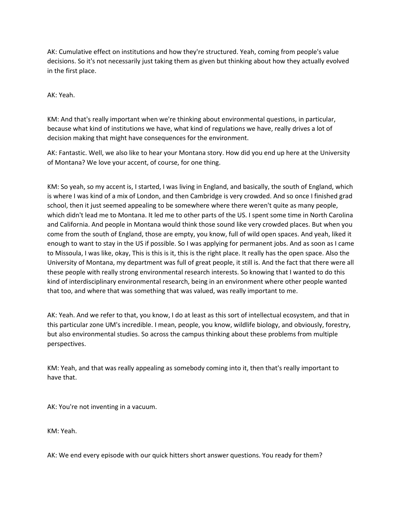AK: Cumulative effect on institutions and how they're structured. Yeah, coming from people's value decisions. So it's not necessarily just taking them as given but thinking about how they actually evolved in the first place.

AK: Yeah.

KM: And that's really important when we're thinking about environmental questions, in particular, because what kind of institutions we have, what kind of regulations we have, really drives a lot of decision making that might have consequences for the environment.

AK: Fantastic. Well, we also like to hear your Montana story. How did you end up here at the University of Montana? We love your accent, of course, for one thing.

KM: So yeah, so my accent is, I started, I was living in England, and basically, the south of England, which is where I was kind of a mix of London, and then Cambridge is very crowded. And so once I finished grad school, then it just seemed appealing to be somewhere where there weren't quite as many people, which didn't lead me to Montana. It led me to other parts of the US. I spent some time in North Carolina and California. And people in Montana would think those sound like very crowded places. But when you come from the south of England, those are empty, you know, full of wild open spaces. And yeah, liked it enough to want to stay in the US if possible. So I was applying for permanent jobs. And as soon as I came to Missoula, I was like, okay, This is this is it, this is the right place. It really has the open space. Also the University of Montana, my department was full of great people, it still is. And the fact that there were all these people with really strong environmental research interests. So knowing that I wanted to do this kind of interdisciplinary environmental research, being in an environment where other people wanted that too, and where that was something that was valued, was really important to me.

AK: Yeah. And we refer to that, you know, I do at least as this sort of intellectual ecosystem, and that in this particular zone UM's incredible. I mean, people, you know, wildlife biology, and obviously, forestry, but also environmental studies. So across the campus thinking about these problems from multiple perspectives.

KM: Yeah, and that was really appealing as somebody coming into it, then that's really important to have that.

AK: You're not inventing in a vacuum.

KM: Yeah.

AK: We end every episode with our quick hitters short answer questions. You ready for them?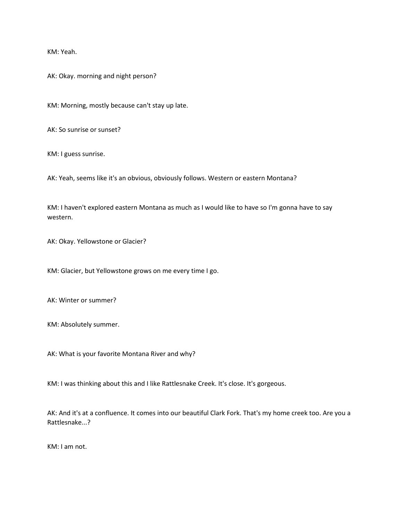KM: Yeah.

AK: Okay. morning and night person?

KM: Morning, mostly because can't stay up late.

AK: So sunrise or sunset?

KM: I guess sunrise.

AK: Yeah, seems like it's an obvious, obviously follows. Western or eastern Montana?

KM: I haven't explored eastern Montana as much as I would like to have so I'm gonna have to say western.

AK: Okay. Yellowstone or Glacier?

KM: Glacier, but Yellowstone grows on me every time I go.

AK: Winter or summer?

KM: Absolutely summer.

AK: What is your favorite Montana River and why?

KM: I was thinking about this and I like Rattlesnake Creek. It's close. It's gorgeous.

AK: And it's at a confluence. It comes into our beautiful Clark Fork. That's my home creek too. Are you a Rattlesnake...?

KM: I am not.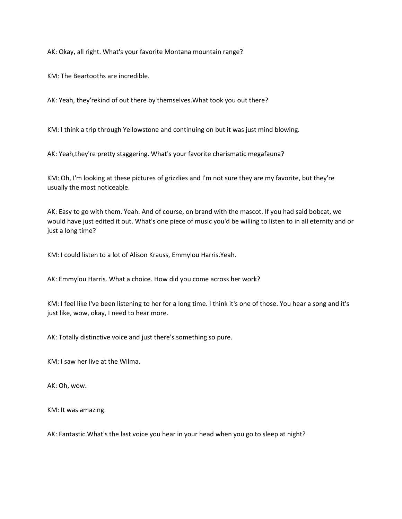AK: Okay, all right. What's your favorite Montana mountain range?

KM: The Beartooths are incredible.

AK: Yeah, they'rekind of out there by themselves.What took you out there?

KM: I think a trip through Yellowstone and continuing on but it was just mind blowing.

AK: Yeah,they're pretty staggering. What's your favorite charismatic megafauna?

KM: Oh, I'm looking at these pictures of grizzlies and I'm not sure they are my favorite, but they're usually the most noticeable.

AK: Easy to go with them. Yeah. And of course, on brand with the mascot. If you had said bobcat, we would have just edited it out. What's one piece of music you'd be willing to listen to in all eternity and or just a long time?

KM: I could listen to a lot of Alison Krauss, Emmylou Harris.Yeah.

AK: Emmylou Harris. What a choice. How did you come across her work?

KM: I feel like I've been listening to her for a long time. I think it's one of those. You hear a song and it's just like, wow, okay, I need to hear more.

AK: Totally distinctive voice and just there's something so pure.

KM: I saw her live at the Wilma.

AK: Oh, wow.

KM: It was amazing.

AK: Fantastic.What's the last voice you hear in your head when you go to sleep at night?